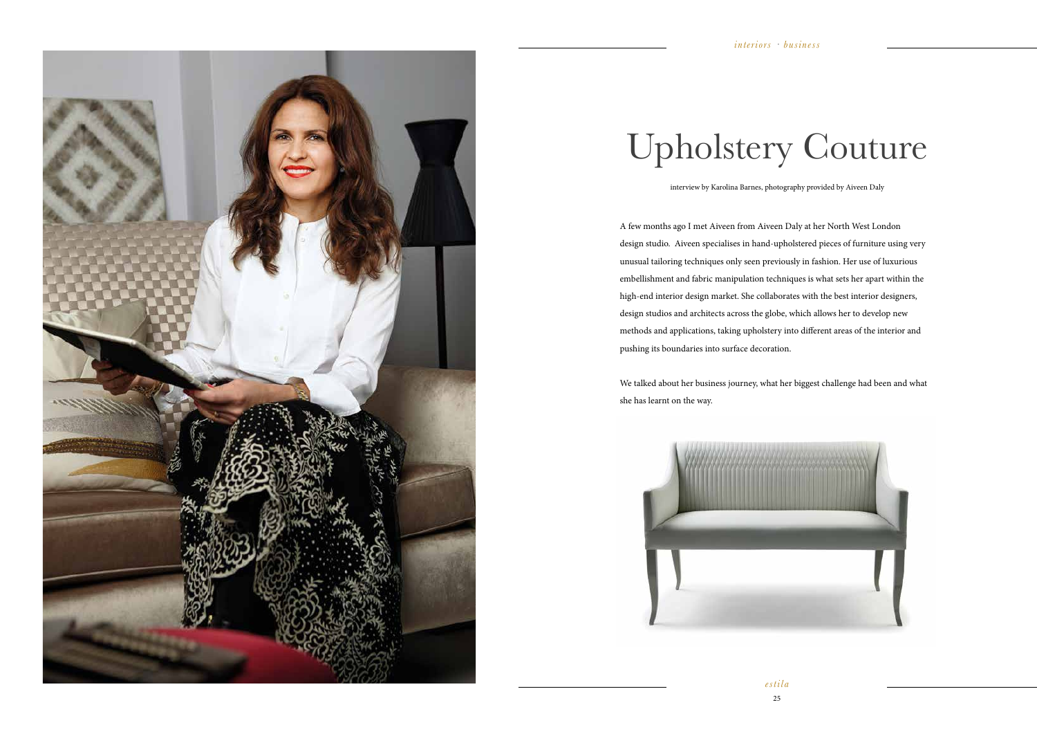*estila*  25





## Upholstery Couture

interview by Karolina Barnes, photography provided by Aiveen Daly

A few months ago I met Aiveen from Aiveen Daly at her North West London design studio. Aiveen specialises in hand-upholstered pieces of furniture using very unusual tailoring techniques only seen previously in fashion. Her use of luxurious embellishment and fabric manipulation techniques is what sets her apart within the high-end interior design market. She collaborates with the best interior designers, design studios and architects across the globe, which allows her to develop new methods and applications, taking upholstery into different areas of the interior and pushing its boundaries into surface decoration.

We talked about her business journey, what her biggest challenge had been and what she has learnt on the way.

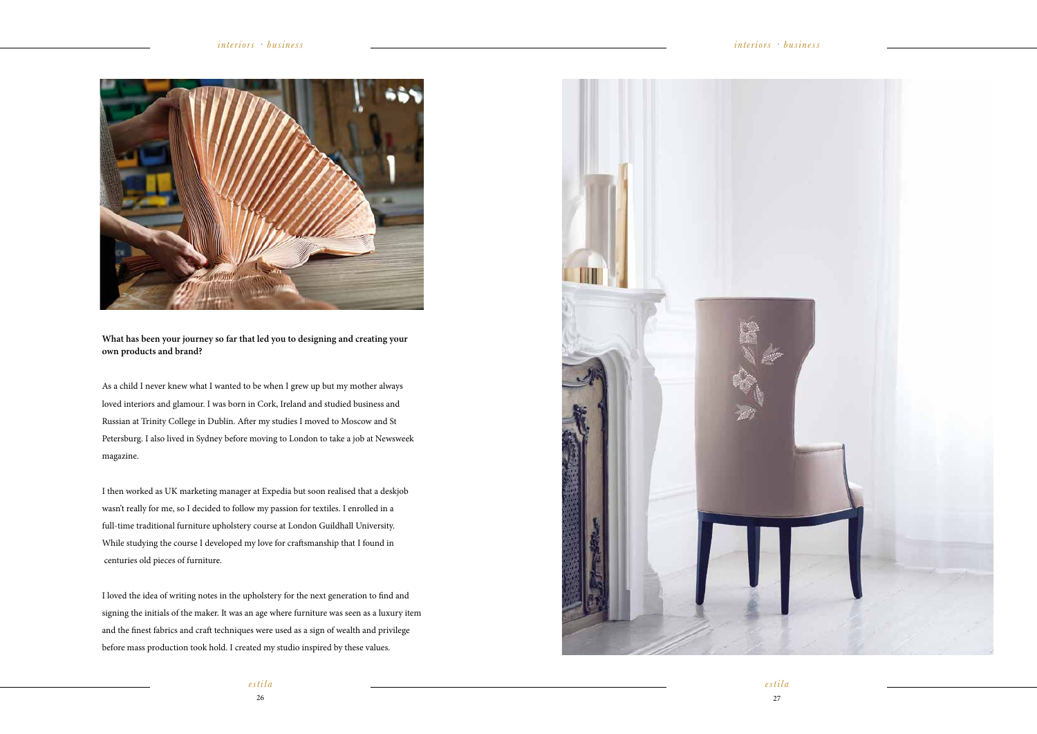



**What has been your journey so far that led you to designing and creating your own products and brand?**

As a child I never knew what I wanted to be when I grew up but my mother always loved interiors and glamour. I was born in Cork, Ireland and studied business and Russian at Trinity College in Dublin. After my studies I moved to Moscow and St Petersburg. I also lived in Sydney before moving to London to take a job at Newsweek magazine.

I then worked as UK marketing manager at Expedia but soon realised that a deskjob wasn't really for me, so I decided to follow my passion for textiles. I enrolled in a full-time traditional furniture upholstery course at London Guildhall University. While studying the course I developed my love for craftsmanship that I found in centuries old pieces of furniture.

I loved the idea of writing notes in the upholstery for the next generation to find and signing the initials of the maker. It was an age where furniture was seen as a luxury item and the finest fabrics and craft techniques were used as a sign of wealth and privilege before mass production took hold. I created my studio inspired by these values.